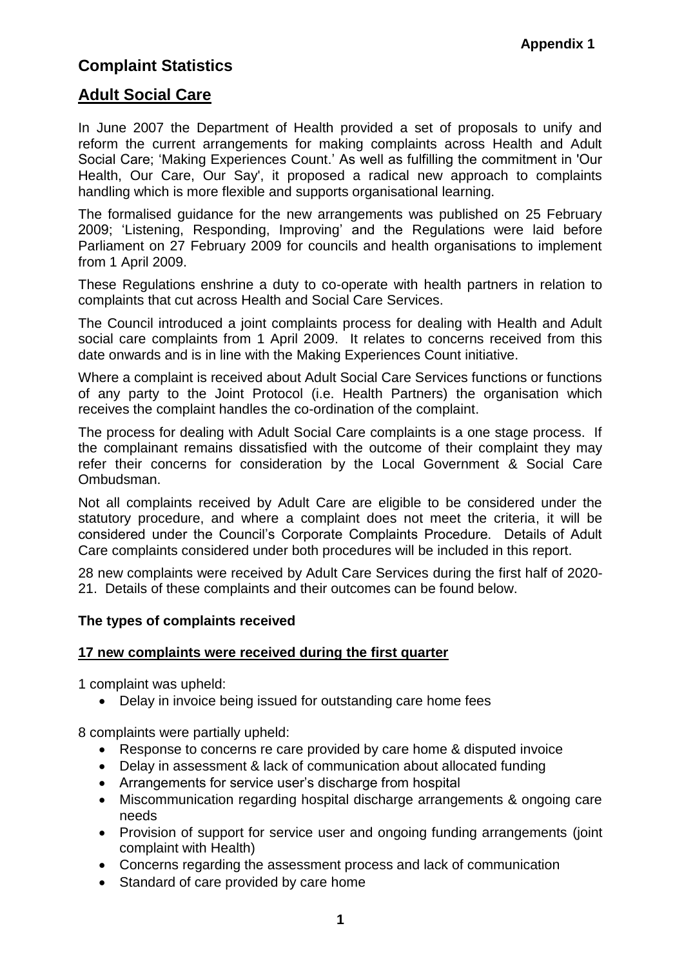# **Complaint Statistics**

# **Adult Social Care**

In June 2007 the Department of Health provided a set of proposals to unify and reform the current arrangements for making complaints across Health and Adult Social Care; ['Making Experiences Count.](http://www.dh.gov.uk/en/Managingyourorganisation/Legalandcontractual/Complaintspolicy/MakingExperiencesCount/index.htm)' As well as fulfilling the commitment in 'Our Health, Our Care, Our Say', it proposed a radical new approach to complaints handling which is more flexible and supports organisational learning.

The formalised guidance for the new arrangements was published on 25 February 2009; ['Listening, Responding, Improving'](http://www.dh.gov.uk/en/Publicationsandstatistics/Publications/PublicationsPolicyAndGuidance/DH_095408) and the [Regulations](http://www.opsi.gov.uk/si/si2009/uksi_20090309_en_1) were laid before Parliament on 27 February 2009 for councils and health organisations to implement from 1 April 2009.

These Regulations enshrine a duty to co-operate with health partners in relation to complaints that cut across Health and Social Care Services.

The Council introduced a joint complaints process for dealing with Health and Adult social care complaints from 1 April 2009. It relates to concerns received from this date onwards and is in line with the Making Experiences Count initiative.

Where a complaint is received about Adult Social Care Services functions or functions of any party to the Joint Protocol (i.e. Health Partners) the organisation which receives the complaint handles the co-ordination of the complaint.

The process for dealing with Adult Social Care complaints is a one stage process. If the complainant remains dissatisfied with the outcome of their complaint they may refer their concerns for consideration by the Local Government & Social Care Ombudsman.

Not all complaints received by Adult Care are eligible to be considered under the statutory procedure, and where a complaint does not meet the criteria, it will be considered under the Council's Corporate Complaints Procedure. Details of Adult Care complaints considered under both procedures will be included in this report.

28 new complaints were received by Adult Care Services during the first half of 2020- 21. Details of these complaints and their outcomes can be found below.

# **The types of complaints received**

### **17 new complaints were received during the first quarter**

1 complaint was upheld:

Delay in invoice being issued for outstanding care home fees

8 complaints were partially upheld:

- Response to concerns re care provided by care home & disputed invoice
- Delay in assessment & lack of communication about allocated funding
- Arrangements for service user's discharge from hospital
- Miscommunication regarding hospital discharge arrangements & ongoing care needs
- Provision of support for service user and ongoing funding arrangements (joint complaint with Health)
- Concerns regarding the assessment process and lack of communication
- Standard of care provided by care home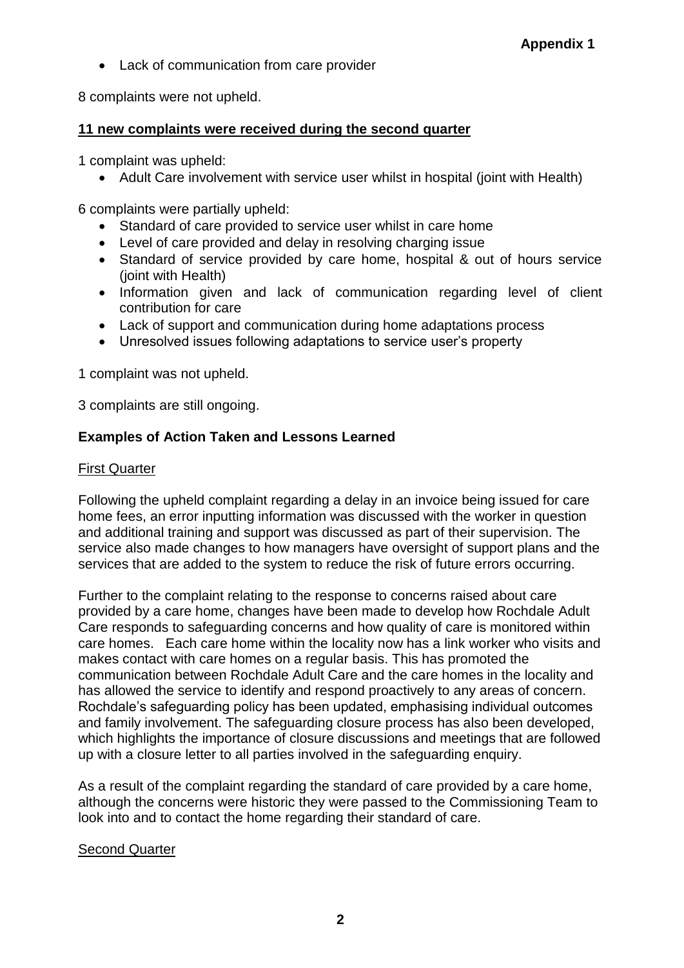Lack of communication from care provider

8 complaints were not upheld.

# **11 new complaints were received during the second quarter**

1 complaint was upheld:

Adult Care involvement with service user whilst in hospital (joint with Health)

6 complaints were partially upheld:

- Standard of care provided to service user whilst in care home
- Level of care provided and delay in resolving charging issue
- Standard of service provided by care home, hospital & out of hours service (joint with Health)
- Information given and lack of communication regarding level of client contribution for care
- Lack of support and communication during home adaptations process
- Unresolved issues following adaptations to service user's property

1 complaint was not upheld.

3 complaints are still ongoing.

# **Examples of Action Taken and Lessons Learned**

# First Quarter

Following the upheld complaint regarding a delay in an invoice being issued for care home fees, an error inputting information was discussed with the worker in question and additional training and support was discussed as part of their supervision. The service also made changes to how managers have oversight of support plans and the services that are added to the system to reduce the risk of future errors occurring.

Further to the complaint relating to the response to concerns raised about care provided by a care home, changes have been made to develop how Rochdale Adult Care responds to safeguarding concerns and how quality of care is monitored within care homes. Each care home within the locality now has a link worker who visits and makes contact with care homes on a regular basis. This has promoted the communication between Rochdale Adult Care and the care homes in the locality and has allowed the service to identify and respond proactively to any areas of concern. Rochdale's safeguarding policy has been updated, emphasising individual outcomes and family involvement. The safeguarding closure process has also been developed, which highlights the importance of closure discussions and meetings that are followed up with a closure letter to all parties involved in the safeguarding enquiry.

As a result of the complaint regarding the standard of care provided by a care home, although the concerns were historic they were passed to the Commissioning Team to look into and to contact the home regarding their standard of care.

# Second Quarter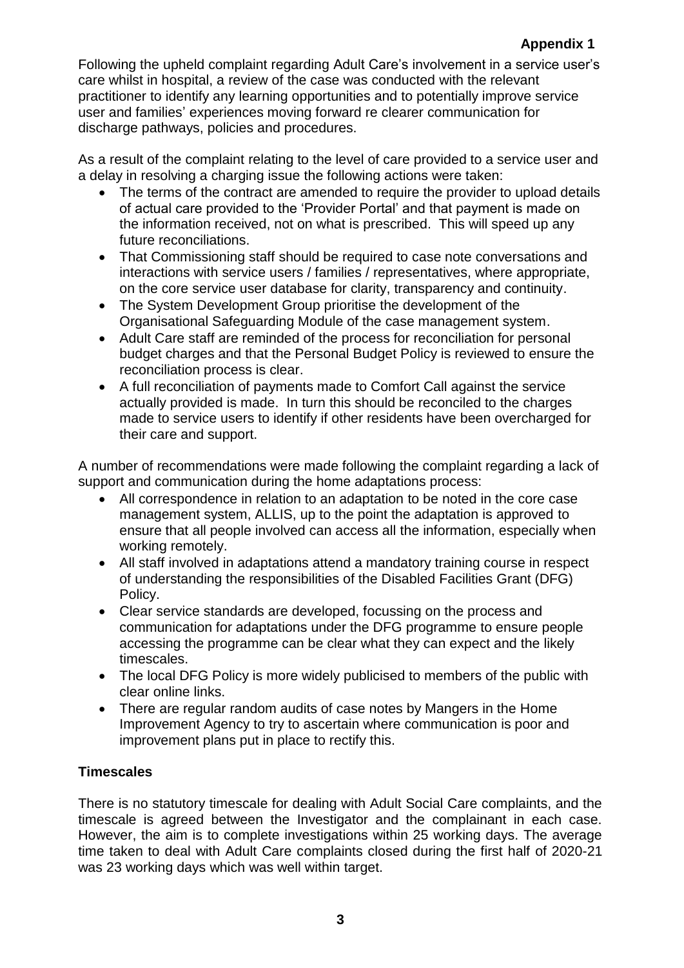Following the upheld complaint regarding Adult Care's involvement in a service user's care whilst in hospital, a review of the case was conducted with the relevant practitioner to identify any learning opportunities and to potentially improve service user and families' experiences moving forward re clearer communication for discharge pathways, policies and procedures.

As a result of the complaint relating to the level of care provided to a service user and a delay in resolving a charging issue the following actions were taken:

- The terms of the contract are amended to require the provider to upload details of actual care provided to the 'Provider Portal' and that payment is made on the information received, not on what is prescribed. This will speed up any future reconciliations.
- That Commissioning staff should be required to case note conversations and interactions with service users / families / representatives, where appropriate, on the core service user database for clarity, transparency and continuity.
- The System Development Group prioritise the development of the Organisational Safeguarding Module of the case management system.
- Adult Care staff are reminded of the process for reconciliation for personal budget charges and that the Personal Budget Policy is reviewed to ensure the reconciliation process is clear.
- A full reconciliation of payments made to Comfort Call against the service actually provided is made. In turn this should be reconciled to the charges made to service users to identify if other residents have been overcharged for their care and support.

A number of recommendations were made following the complaint regarding a lack of support and communication during the home adaptations process:

- All correspondence in relation to an adaptation to be noted in the core case management system, ALLIS, up to the point the adaptation is approved to ensure that all people involved can access all the information, especially when working remotely.
- All staff involved in adaptations attend a mandatory training course in respect of understanding the responsibilities of the Disabled Facilities Grant (DFG) Policy.
- Clear service standards are developed, focussing on the process and communication for adaptations under the DFG programme to ensure people accessing the programme can be clear what they can expect and the likely timescales.
- The local DFG Policy is more widely publicised to members of the public with clear online links.
- There are regular random audits of case notes by Mangers in the Home Improvement Agency to try to ascertain where communication is poor and improvement plans put in place to rectify this.

# **Timescales**

There is no statutory timescale for dealing with Adult Social Care complaints, and the timescale is agreed between the Investigator and the complainant in each case. However, the aim is to complete investigations within 25 working days. The average time taken to deal with Adult Care complaints closed during the first half of 2020-21 was 23 working days which was well within target.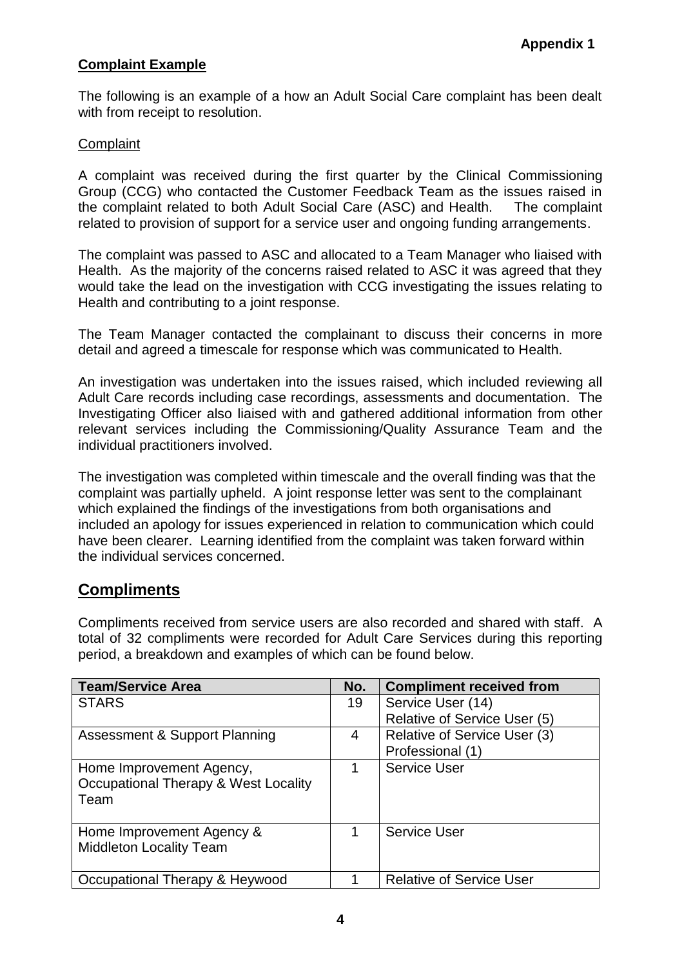# **Complaint Example**

The following is an example of a how an Adult Social Care complaint has been dealt with from receipt to resolution.

## **Complaint**

A complaint was received during the first quarter by the Clinical Commissioning Group (CCG) who contacted the Customer Feedback Team as the issues raised in the complaint related to both Adult Social Care (ASC) and Health. The complaint related to provision of support for a service user and ongoing funding arrangements.

The complaint was passed to ASC and allocated to a Team Manager who liaised with Health. As the majority of the concerns raised related to ASC it was agreed that they would take the lead on the investigation with CCG investigating the issues relating to Health and contributing to a joint response.

The Team Manager contacted the complainant to discuss their concerns in more detail and agreed a timescale for response which was communicated to Health.

An investigation was undertaken into the issues raised, which included reviewing all Adult Care records including case recordings, assessments and documentation. The Investigating Officer also liaised with and gathered additional information from other relevant services including the Commissioning/Quality Assurance Team and the individual practitioners involved.

The investigation was completed within timescale and the overall finding was that the complaint was partially upheld. A joint response letter was sent to the complainant which explained the findings of the investigations from both organisations and included an apology for issues experienced in relation to communication which could have been clearer. Learning identified from the complaint was taken forward within the individual services concerned.

# **Compliments**

Compliments received from service users are also recorded and shared with staff. A total of 32 compliments were recorded for Adult Care Services during this reporting period, a breakdown and examples of which can be found below.

| <b>Team/Service Area</b>                 | No. | <b>Compliment received from</b> |
|------------------------------------------|-----|---------------------------------|
| <b>STARS</b>                             | 19  | Service User (14)               |
|                                          |     | Relative of Service User (5)    |
| <b>Assessment &amp; Support Planning</b> | 4   | Relative of Service User (3)    |
|                                          |     | Professional (1)                |
| Home Improvement Agency,                 | 1   | Service User                    |
| Occupational Therapy & West Locality     |     |                                 |
| Team                                     |     |                                 |
|                                          |     |                                 |
| Home Improvement Agency &                | 1   | <b>Service User</b>             |
| <b>Middleton Locality Team</b>           |     |                                 |
|                                          |     |                                 |
| Occupational Therapy & Heywood           |     | <b>Relative of Service User</b> |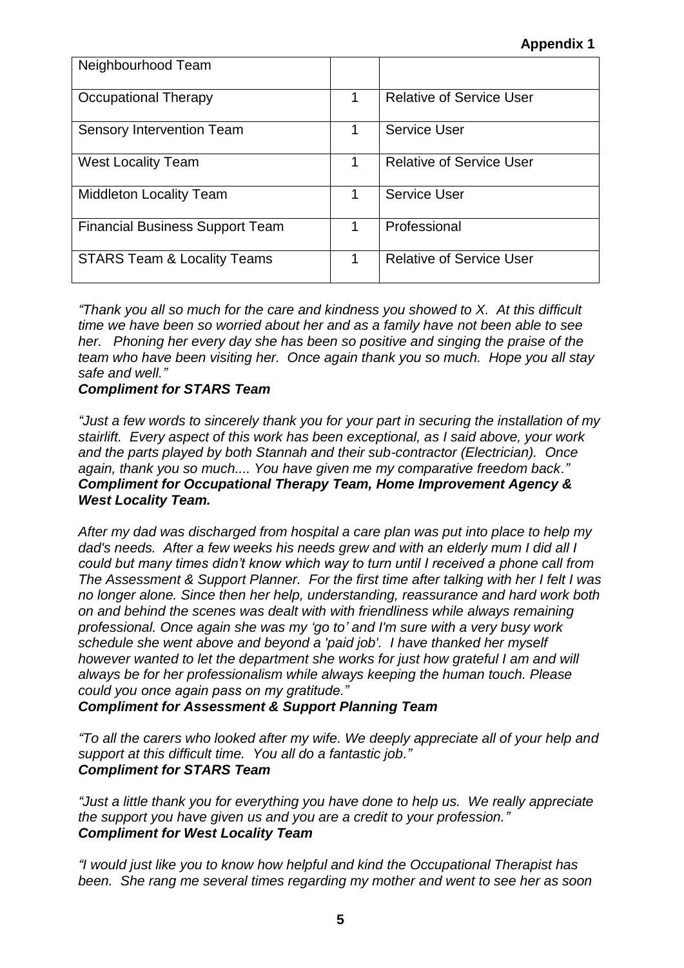| Neighbourhood Team                     |   |                                 |
|----------------------------------------|---|---------------------------------|
| Occupational Therapy                   | 1 | <b>Relative of Service User</b> |
| Sensory Intervention Team              | 1 | <b>Service User</b>             |
| <b>West Locality Team</b>              | 1 | <b>Relative of Service User</b> |
| <b>Middleton Locality Team</b>         | 1 | <b>Service User</b>             |
| <b>Financial Business Support Team</b> | 1 | Professional                    |
| <b>STARS Team &amp; Locality Teams</b> | 1 | <b>Relative of Service User</b> |

*"Thank you all so much for the care and kindness you showed to X. At this difficult time we have been so worried about her and as a family have not been able to see her. Phoning her every day she has been so positive and singing the praise of the team who have been visiting her. Once again thank you so much. Hope you all stay safe and well."*

## *Compliment for STARS Team*

*"Just a few words to sincerely thank you for your part in securing the installation of my stairlift. Every aspect of this work has been exceptional, as I said above, your work and the parts played by both Stannah and their sub-contractor (Electrician). Once again, thank you so much.... You have given me my comparative freedom back." Compliment for Occupational Therapy Team, Home Improvement Agency & West Locality Team.*

*After my dad was discharged from hospital a care plan was put into place to help my dad's needs. After a few weeks his needs grew and with an elderly mum I did all I could but many times didn't know which way to turn until I received a phone call from The Assessment & Support Planner. For the first time after talking with her I felt I was no longer alone. Since then her help, understanding, reassurance and hard work both on and behind the scenes was dealt with with friendliness while always remaining professional. Once again she was my 'go to' and I'm sure with a very busy work schedule she went above and beyond a 'paid job'. I have thanked her myself however wanted to let the department she works for just how grateful I am and will always be for her professionalism while always keeping the human touch. Please could you once again pass on my gratitude."*

*Compliment for Assessment & Support Planning Team*

*"To all the carers who looked after my wife. We deeply appreciate all of your help and support at this difficult time. You all do a fantastic job." Compliment for STARS Team*

*"Just a little thank you for everything you have done to help us. We really appreciate the support you have given us and you are a credit to your profession." Compliment for West Locality Team*

*"I would just like you to know how helpful and kind the Occupational Therapist has been. She rang me several times regarding my mother and went to see her as soon*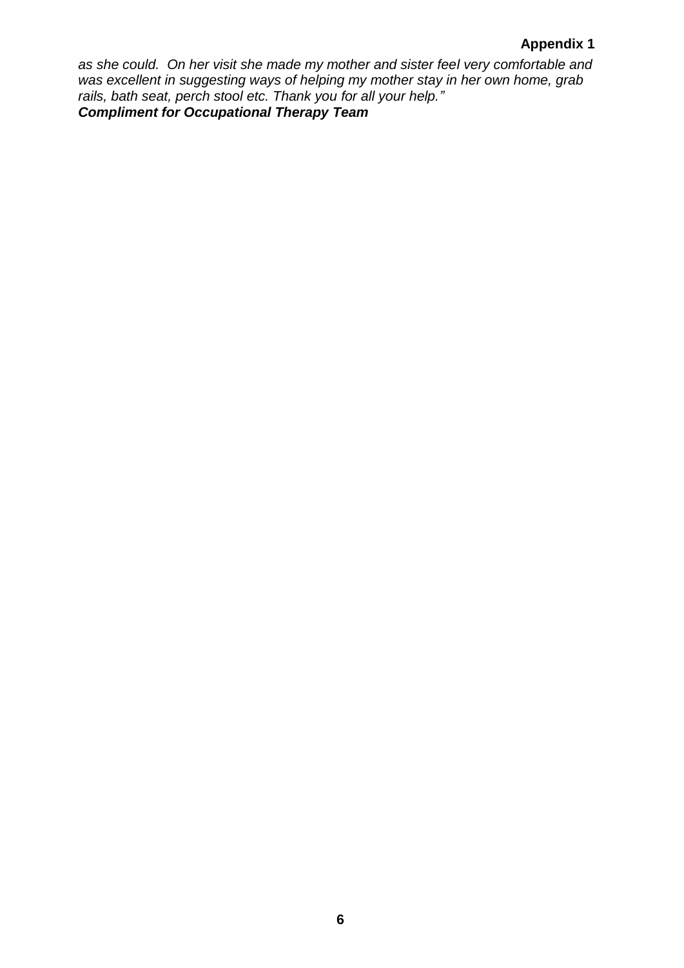### **Appendix 1**

*as she could. On her visit she made my mother and sister feel very comfortable and was excellent in suggesting ways of helping my mother stay in her own home, grab rails, bath seat, perch stool etc. Thank you for all your help." Compliment for Occupational Therapy Team*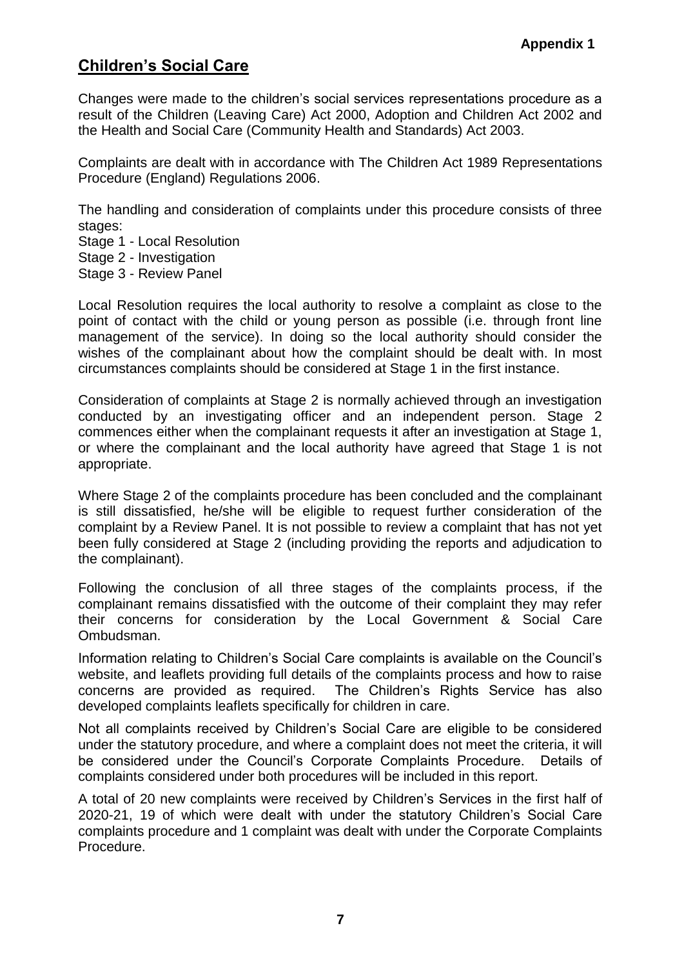# **Children's Social Care**

Changes were made to the children's social services representations procedure as a result of the Children (Leaving Care) Act 2000, Adoption and Children Act 2002 and the Health and Social Care (Community Health and Standards) Act 2003.

Complaints are dealt with in accordance with The Children Act 1989 Representations Procedure (England) Regulations 2006.

The handling and consideration of complaints under this procedure consists of three stages:

Stage 1 - Local Resolution

Stage 2 - Investigation

Stage 3 - Review Panel

Local Resolution requires the local authority to resolve a complaint as close to the point of contact with the child or young person as possible (i.e. through front line management of the service). In doing so the local authority should consider the wishes of the complainant about how the complaint should be dealt with. In most circumstances complaints should be considered at Stage 1 in the first instance.

Consideration of complaints at Stage 2 is normally achieved through an investigation conducted by an investigating officer and an independent person. Stage 2 commences either when the complainant requests it after an investigation at Stage 1, or where the complainant and the local authority have agreed that Stage 1 is not appropriate.

Where Stage 2 of the complaints procedure has been concluded and the complainant is still dissatisfied, he/she will be eligible to request further consideration of the complaint by a Review Panel. It is not possible to review a complaint that has not yet been fully considered at Stage 2 (including providing the reports and adjudication to the complainant).

Following the conclusion of all three stages of the complaints process, if the complainant remains dissatisfied with the outcome of their complaint they may refer their concerns for consideration by the Local Government & Social Care Ombudsman.

Information relating to Children's Social Care complaints is available on the Council's website, and leaflets providing full details of the complaints process and how to raise concerns are provided as required. The Children's Rights Service has also developed complaints leaflets specifically for children in care.

Not all complaints received by Children's Social Care are eligible to be considered under the statutory procedure, and where a complaint does not meet the criteria, it will be considered under the Council's Corporate Complaints Procedure. Details of complaints considered under both procedures will be included in this report.

A total of 20 new complaints were received by Children's Services in the first half of 2020-21, 19 of which were dealt with under the statutory Children's Social Care complaints procedure and 1 complaint was dealt with under the Corporate Complaints Procedure.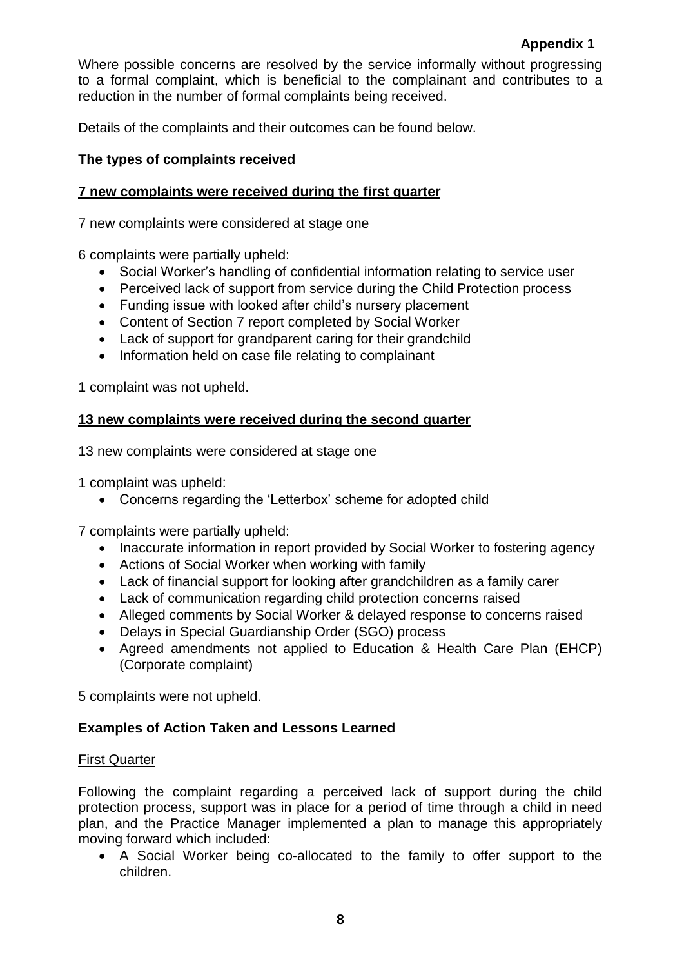Where possible concerns are resolved by the service informally without progressing to a formal complaint, which is beneficial to the complainant and contributes to a reduction in the number of formal complaints being received.

Details of the complaints and their outcomes can be found below.

## **The types of complaints received**

## **7 new complaints were received during the first quarter**

#### 7 new complaints were considered at stage one

6 complaints were partially upheld:

- Social Worker's handling of confidential information relating to service user
- Perceived lack of support from service during the Child Protection process
- Funding issue with looked after child's nursery placement
- Content of Section 7 report completed by Social Worker
- Lack of support for grandparent caring for their grandchild
- Information held on case file relating to complainant

1 complaint was not upheld.

### **13 new complaints were received during the second quarter**

#### 13 new complaints were considered at stage one

1 complaint was upheld:

Concerns regarding the 'Letterbox' scheme for adopted child

7 complaints were partially upheld:

- Inaccurate information in report provided by Social Worker to fostering agency
- Actions of Social Worker when working with family
- Lack of financial support for looking after grandchildren as a family carer
- Lack of communication regarding child protection concerns raised
- Alleged comments by Social Worker & delayed response to concerns raised
- Delays in Special Guardianship Order (SGO) process
- Agreed amendments not applied to Education & Health Care Plan (EHCP) (Corporate complaint)

5 complaints were not upheld.

### **Examples of Action Taken and Lessons Learned**

### First Quarter

Following the complaint regarding a perceived lack of support during the child protection process, support was in place for a period of time through a child in need plan, and the Practice Manager implemented a plan to manage this appropriately moving forward which included:

 A Social Worker being co-allocated to the family to offer support to the children.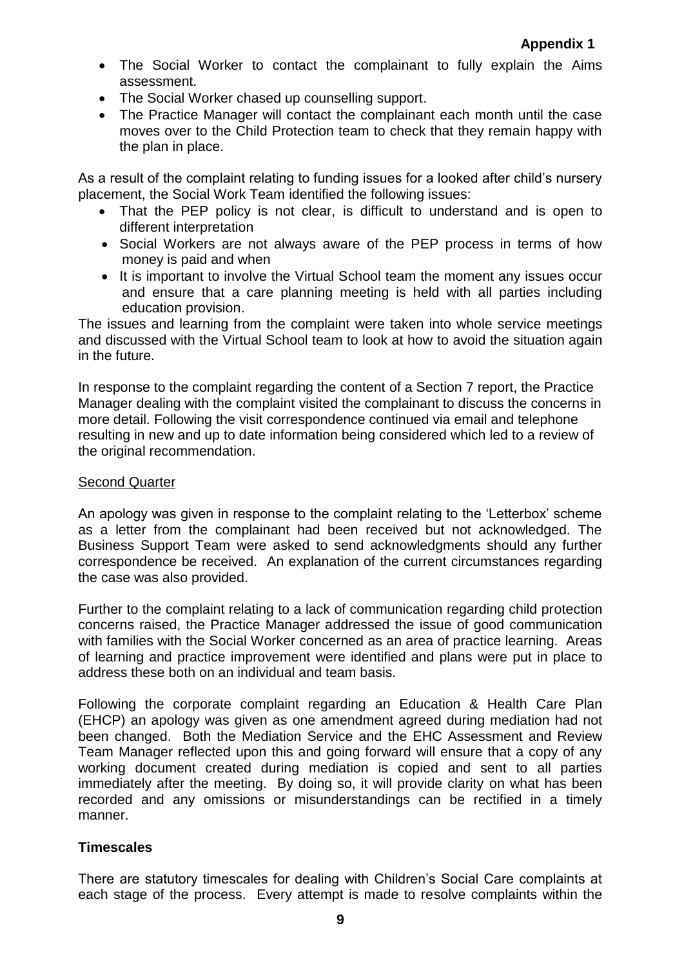- The Social Worker to contact the complainant to fully explain the Aims assessment.
- The Social Worker chased up counselling support.
- The Practice Manager will contact the complainant each month until the case moves over to the Child Protection team to check that they remain happy with the plan in place.

As a result of the complaint relating to funding issues for a looked after child's nursery placement, the Social Work Team identified the following issues:

- That the PEP policy is not clear, is difficult to understand and is open to different interpretation
- Social Workers are not always aware of the PEP process in terms of how money is paid and when
- It is important to involve the Virtual School team the moment any issues occur and ensure that a care planning meeting is held with all parties including education provision.

The issues and learning from the complaint were taken into whole service meetings and discussed with the Virtual School team to look at how to avoid the situation again in the future.

In response to the complaint regarding the content of a Section 7 report, the Practice Manager dealing with the complaint visited the complainant to discuss the concerns in more detail. Following the visit correspondence continued via email and telephone resulting in new and up to date information being considered which led to a review of the original recommendation.

### Second Quarter

An apology was given in response to the complaint relating to the 'Letterbox' scheme as a letter from the complainant had been received but not acknowledged. The Business Support Team were asked to send acknowledgments should any further correspondence be received. An explanation of the current circumstances regarding the case was also provided.

Further to the complaint relating to a lack of communication regarding child protection concerns raised, the Practice Manager addressed the issue of good communication with families with the Social Worker concerned as an area of practice learning. Areas of learning and practice improvement were identified and plans were put in place to address these both on an individual and team basis.

Following the corporate complaint regarding an Education & Health Care Plan (EHCP) an apology was given as one amendment agreed during mediation had not been changed. Both the Mediation Service and the EHC Assessment and Review Team Manager reflected upon this and going forward will ensure that a copy of any working document created during mediation is copied and sent to all parties immediately after the meeting. By doing so, it will provide clarity on what has been recorded and any omissions or misunderstandings can be rectified in a timely manner.

# **Timescales**

There are statutory timescales for dealing with Children's Social Care complaints at each stage of the process. Every attempt is made to resolve complaints within the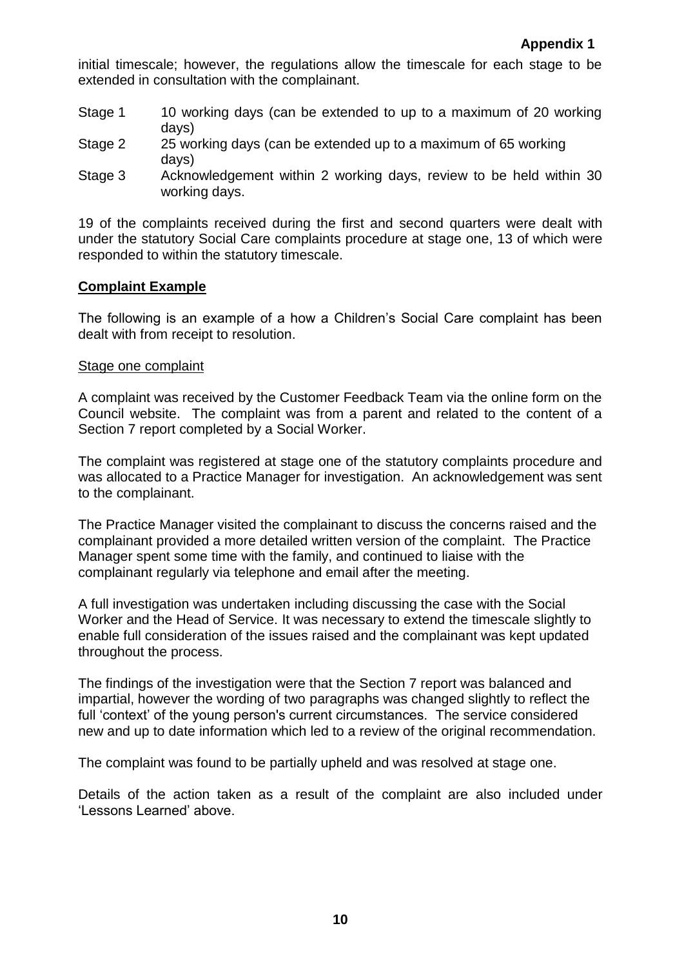initial timescale; however, the regulations allow the timescale for each stage to be extended in consultation with the complainant.

- Stage 1 10 working days (can be extended to up to a maximum of 20 working days)
- Stage 2 25 working days (can be extended up to a maximum of 65 working days)
- Stage 3 Acknowledgement within 2 working days, review to be held within 30 working days.

19 of the complaints received during the first and second quarters were dealt with under the statutory Social Care complaints procedure at stage one, 13 of which were responded to within the statutory timescale.

## **Complaint Example**

The following is an example of a how a Children's Social Care complaint has been dealt with from receipt to resolution.

#### Stage one complaint

A complaint was received by the Customer Feedback Team via the online form on the Council website. The complaint was from a parent and related to the content of a Section 7 report completed by a Social Worker.

The complaint was registered at stage one of the statutory complaints procedure and was allocated to a Practice Manager for investigation. An acknowledgement was sent to the complainant.

The Practice Manager visited the complainant to discuss the concerns raised and the complainant provided a more detailed written version of the complaint. The Practice Manager spent some time with the family, and continued to liaise with the complainant regularly via telephone and email after the meeting.

A full investigation was undertaken including discussing the case with the Social Worker and the Head of Service. It was necessary to extend the timescale slightly to enable full consideration of the issues raised and the complainant was kept updated throughout the process.

The findings of the investigation were that the Section 7 report was balanced and impartial, however the wording of two paragraphs was changed slightly to reflect the full 'context' of the young person's current circumstances. The service considered new and up to date information which led to a review of the original recommendation.

The complaint was found to be partially upheld and was resolved at stage one.

Details of the action taken as a result of the complaint are also included under 'Lessons Learned' above.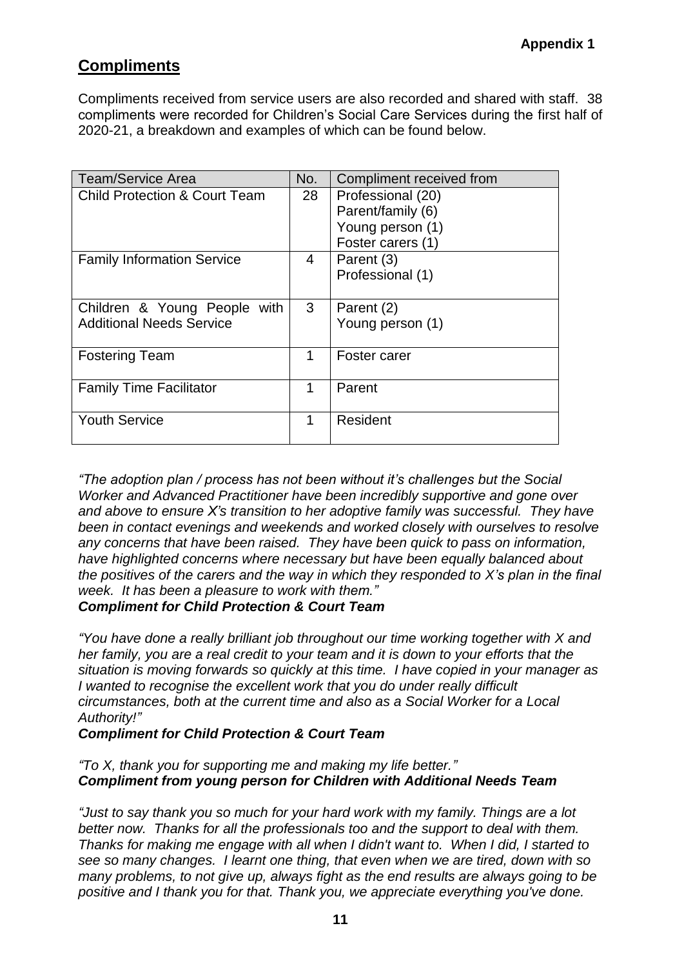# **Compliments**

Compliments received from service users are also recorded and shared with staff. 38 compliments were recorded for Children's Social Care Services during the first half of 2020-21, a breakdown and examples of which can be found below.

| <b>Team/Service Area</b>                 | No.            | Compliment received from |
|------------------------------------------|----------------|--------------------------|
| <b>Child Protection &amp; Court Team</b> | 28             | Professional (20)        |
|                                          |                | Parent/family (6)        |
|                                          |                | Young person (1)         |
|                                          |                | Foster carers (1)        |
| <b>Family Information Service</b>        | $\overline{4}$ | Parent (3)               |
|                                          |                | Professional (1)         |
|                                          |                |                          |
| Children & Young People with             | 3              | Parent (2)               |
| <b>Additional Needs Service</b>          |                | Young person (1)         |
|                                          |                |                          |
| <b>Fostering Team</b>                    | 1              | Foster carer             |
|                                          |                |                          |
| <b>Family Time Facilitator</b>           | 1              | Parent                   |
|                                          |                |                          |
| <b>Youth Service</b>                     | 1              | Resident                 |
|                                          |                |                          |

*"The adoption plan / process has not been without it's challenges but the Social Worker and Advanced Practitioner have been incredibly supportive and gone over and above to ensure X's transition to her adoptive family was successful. They have been in contact evenings and weekends and worked closely with ourselves to resolve any concerns that have been raised. They have been quick to pass on information, have highlighted concerns where necessary but have been equally balanced about the positives of the carers and the way in which they responded to X's plan in the final week. It has been a pleasure to work with them." Compliment for Child Protection & Court Team*

*"You have done a really brilliant job throughout our time working together with X and her family, you are a real credit to your team and it is down to your efforts that the situation is moving forwards so quickly at this time. I have copied in your manager as I wanted to recognise the excellent work that you do under really difficult circumstances, both at the current time and also as a Social Worker for a Local Authority!"* 

*Compliment for Child Protection & Court Team*

*"To X, thank you for supporting me and making my life better." Compliment from young person for Children with Additional Needs Team*

*"Just to say thank you so much for your hard work with my family. Things are a lot better now. Thanks for all the professionals too and the support to deal with them. Thanks for making me engage with all when I didn't want to. When I did, I started to see so many changes. I learnt one thing, that even when we are tired, down with so many problems, to not give up, always fight as the end results are always going to be positive and I thank you for that. Thank you, we appreciate everything you've done.*